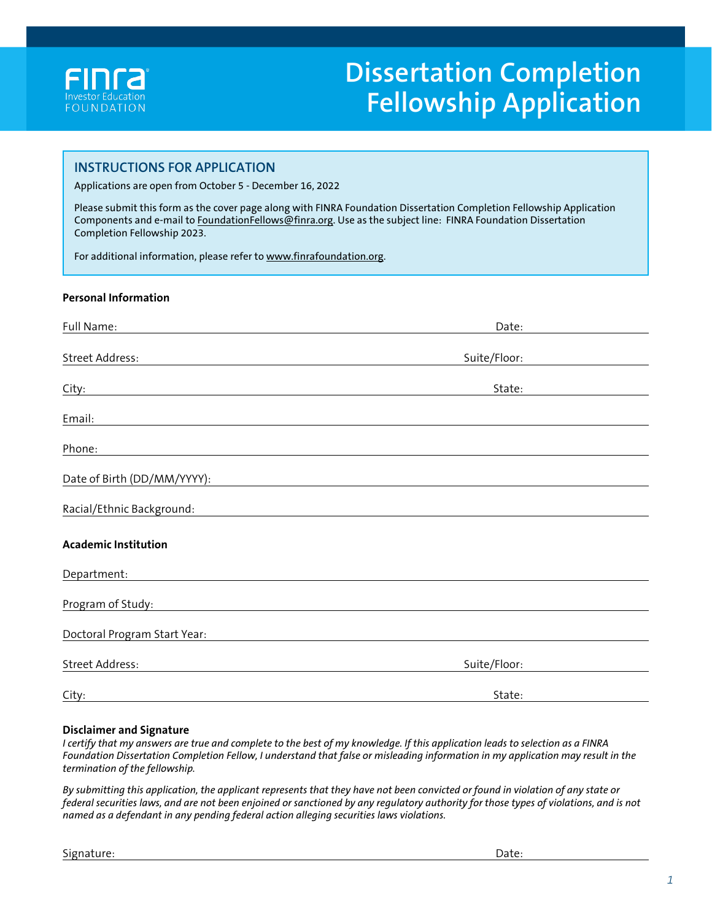

# **Dissertation Completion Fellowship Application**

# **INSTRUCTIONS FOR APPLICATION**

Applications are open from October 5 - December 16, 2022

Please submit this form as the cover page along with FINRA Foundation Dissertation Completion Fellowship Application Components and e-mail to [FoundationFellows@finra.org](mailto:FoundationFellows%40finra.org?subject=FINRA%20Foundation%20Dissertation%20Completion%20Fellowship%202023). Use as the subject line: FINRA Foundation Dissertation Completion Fellowship 2023.

For additional information, please refer to [www.finrafoundation.org.](http://www.finrafoundation.org)

#### **Personal Information**

| Full Name:                                                                                                                                                                                                                     | Date:                                                      |
|--------------------------------------------------------------------------------------------------------------------------------------------------------------------------------------------------------------------------------|------------------------------------------------------------|
| Street Address:                                                                                                                                                                                                                | Suite/Floor:                                               |
| City:<br><u> 1980 - Johann Stein, marwolaethau (b. 1980)</u>                                                                                                                                                                   | State:                                                     |
| Email:                                                                                                                                                                                                                         |                                                            |
| Phone:                                                                                                                                                                                                                         |                                                            |
| Date of Birth (DD/MM/YYYY): Notice that the contract of the contract of the contract of the contract of the contract of the contract of the contract of the contract of the contract of the contract of the contract of the co |                                                            |
| Racial/Ethnic Background:                                                                                                                                                                                                      | <u> 1989 - John Stein, Amerikaansk politiker (</u> † 1920) |
| <b>Academic Institution</b>                                                                                                                                                                                                    |                                                            |
| Department:                                                                                                                                                                                                                    |                                                            |
| Program of Study:                                                                                                                                                                                                              |                                                            |
| Doctoral Program Start Year:                                                                                                                                                                                                   |                                                            |
| <b>Street Address:</b>                                                                                                                                                                                                         | Suite/Floor:                                               |
| City:                                                                                                                                                                                                                          | State:                                                     |

#### **Disclaimer and Signature**

*I certify that my answers are true and complete to the best of my knowledge. If this application leads to selection as a FINRA Foundation Dissertation Completion Fellow, I understand that false or misleading information in my application may result in the termination of the fellowship.* 

*By submitting this application, the applicant represents that they have not been convicted or found in violation of any state or federal securities laws, and are not been enjoined or sanctioned by any regulatory authority for those types of violations, and is not named as a defendant in any pending federal action alleging securities laws violations.*

| Signature: | Date: |
|------------|-------|
|------------|-------|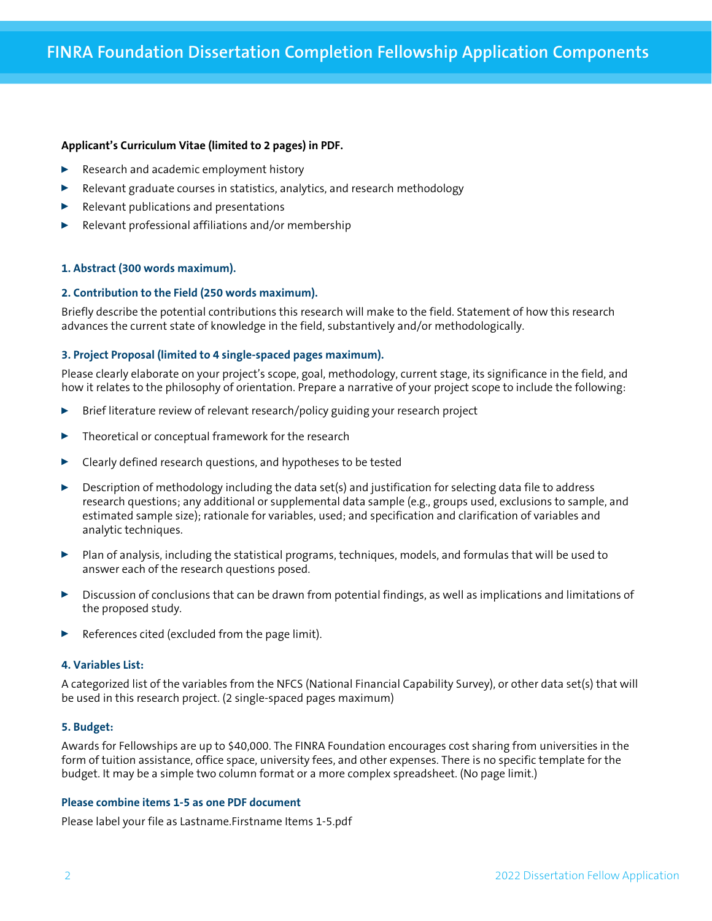### **Applicant's Curriculum Vitae (limited to 2 pages) in PDF.**

- Research and academic employment history
- Relevant graduate courses in statistics, analytics, and research methodology
- Relevant publications and presentations
- Relevant professional affiliations and/or membership

#### **1. Abstract (300 words maximum).**

#### **2. Contribution to the Field (250 words maximum).**

Briefly describe the potential contributions this research will make to the field. Statement of how this research advances the current state of knowledge in the field, substantively and/or methodologically.

## **3. Project Proposal (limited to 4 single-spaced pages maximum).**

Please clearly elaborate on your project's scope, goal, methodology, current stage, its significance in the field, and how it relates to the philosophy of orientation. Prepare a narrative of your project scope to include the following:

- $\triangleright$  Brief literature review of relevant research/policy guiding your research project
- Theoretical or conceptual framework for the research
- <sup>0</sup> Clearly defined research questions, and hypotheses to be tested
- Description of methodology including the data set(s) and justification for selecting data file to address research questions; any additional or supplemental data sample (e.g., groups used, exclusions to sample, and estimated sample size); rationale for variables, used; and specification and clarification of variables and analytic techniques.
- Plan of analysis, including the statistical programs, techniques, models, and formulas that will be used to answer each of the research questions posed.
- $\triangleright$  Discussion of conclusions that can be drawn from potential findings, as well as implications and limitations of the proposed study.
- $\blacktriangleright$  References cited (excluded from the page limit).

#### **4. Variables List:**

A categorized list of the variables from the NFCS (National Financial Capability Survey), or other data set(s) that will be used in this research project. (2 single-spaced pages maximum)

#### **5. Budget:**

Awards for Fellowships are up to \$40,000. The FINRA Foundation encourages cost sharing from universities in the form of tuition assistance, office space, university fees, and other expenses. There is no specific template for the budget. It may be a simple two column format or a more complex spreadsheet. (No page limit.)

### **Please combine items 1-5 as one PDF document**

Please label your file as Lastname.Firstname Items 1-5.pdf